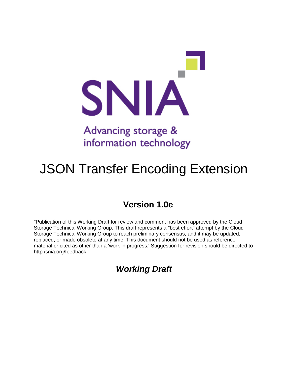

## Advancing storage & information technology

# JSON Transfer Encoding Extension

## **Version 1.0e**

"Publication of this Working Draft for review and comment has been approved by the Cloud Storage Technical Working Group. This draft represents a "best effort" attempt by the Cloud Storage Technical Working Group to reach preliminary consensus, and it may be updated, replaced, or made obsolete at any time. This document should not be used as reference material or cited as other than a 'work in progress.' Suggestion for revision should be directed to http:/snia.org/feedback."

*Working Draft*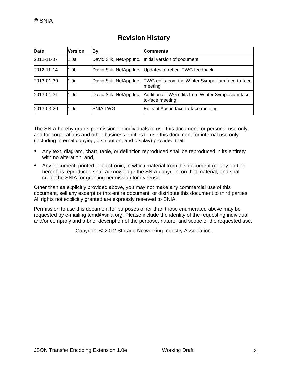| Date       | <b>Version</b> | Вy                      | <b>Comments</b>                                                      |
|------------|----------------|-------------------------|----------------------------------------------------------------------|
| 2012-11-07 | 1.0a           | David Slik, NetApp Inc. | Initial version of document                                          |
| 2012-11-14 | 1.0b           |                         | David Slik, NetApp Inc. Updates to reflect TWG feedback              |
| 2013-01-30 | 1.0c           | David Slik, NetApp Inc. | TWG edits from the Winter Symposium face-to-face<br>meeting.         |
| 2013-01-31 | 1.0d           | David Slik, NetApp Inc. | Additional TWG edits from Winter Symposium face-<br>to-face meeting. |
| 2013-03-20 | 1.0e           | <b>SNIA TWG</b>         | Edits at Austin face-to-face meeting.                                |

### **Revision History**

The SNIA hereby grants permission for individuals to use this document for personal use only, and for corporations and other business entities to use this document for internal use only (including internal copying, distribution, and display) provided that:

- Any text, diagram, chart, table, or definition reproduced shall be reproduced in its entirety with no alteration, and,
- Any document, printed or electronic, in which material from this document (or any portion hereof) is reproduced shall acknowledge the SNIA copyright on that material, and shall credit the SNIA for granting permission for its reuse.

Other than as explicitly provided above, you may not make any commercial use of this document, sell any excerpt or this entire document, or distribute this document to third parties. All rights not explicitly granted are expressly reserved to SNIA.

Permission to use this document for purposes other than those enumerated above may be requested by e-mailing tcmd@snia.org. Please include the identity of the requesting individual and/or company and a brief description of the purpose, nature, and scope of the requested use.

Copyright © 2012 Storage Networking Industry Association.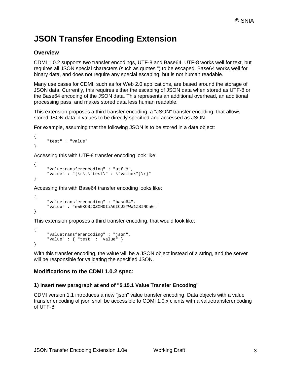## **JSON Transfer Encoding Extension**

#### **Overview**

CDMI 1.0.2 supports two transfer encodings, UTF-8 and Base64. UTF-8 works well for text, but requires all JSON special characters (such as quotes ") to be escaped. Base64 works well for binary data, and does not require any special escaping, but is not human readable.

Many use cases for CDMI, such as for Web 2.0 applications, are based around the storage of JSON data. Currently, this requires either the escaping of JSON data when stored as UTF-8 or the Base64 encoding of the JSON data. This represents an additional overhead, an additional processing pass, and makes stored data less human readable.

This extension proposes a third transfer encoding, a "JSON" transfer encoding, that allows stored JSON data in values to be directly specified and accessed as JSON.

For example, assuming that the following JSON is to be stored in a data object:

```
{
     "test" : "value"
}
```
Accessing this with UTF-8 transfer encoding look like:

```
{
     "valuetransferencoding" : "utf-8",
     "value" : "\{\r \t\text{test}\ : \"value\"}\r}"
}
```
Accessing this with Base64 transfer encoding looks like:

```
{
     "valuetransferencoding" : "base64",
     "value" : "ew0KCSJ0ZXN0IiA6ICJ2YWx1ZSINCn0="
}
```
This extension proposes a third transfer encoding, that would look like:

```
{
     "valuetransferencoding" : "json",
     "value" : { "test" : "value" }
}
```
With this transfer encoding, the value will be a JSON object instead of a string, and the server will be responsible for validating the specified JSON.

#### **Modifications to the CDMI 1.0.2 spec:**

#### **1) Insert new paragraph at end of "5.15.1 Value Transfer Encoding"**

CDMI version 1.1 introduces a new "json" value transfer encoding. Data objects with a value transfer encoding of json shall be accessible to CDMI 1.0.x clients with a valuetransferencoding of UTF-8.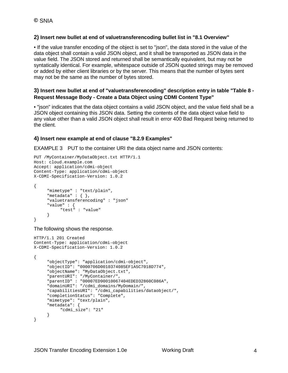#### **2) Insert new bullet at end of valuetransferencoding bullet list in "8.1 Overview"**

• If the value transfer encoding of the object is set to "json", the data stored in the value of the data object shall contain a valid JSON object, and it shall be transported as JSON data in the value field. The JSON stored and returned shall be semantically equivalent, but may not be syntatically identical. For example, whitespace outside of JSON quoted strings may be removed or added by either client libraries or by the server. This means that the number of bytes sent may not be the same as the number of bytes stored.

#### **3) Insert new bullet at end of "valuetransferencoding" description entry in table "Table 8 - Request Message Body - Create a Data Object using CDMI Content Type"**

• "json" indicates that the data object contains a valid JSON object, and the value field shall be a JSON object containing this JSON data. Setting the contents of the data object value field to any value other than a valid JSON object shall result in error 400 Bad Request being returned to the client.

#### **4) Insert new example at end of clause "8.2.9 Examples"**

EXAMPLE 3 PUT to the container URI the data object name and JSON contents:

```
PUT /MyContainer/MyDataObject.txt HTTP/1.1
Host: cloud.example.com
Accept: application/cdmi-object
Content-Type: application/cdmi-object
X-CDMI-Specification-Version: 1.0.2
{
     "mimetype" : "text/plain",
     "metadata" : { },
     "valuetransferencoding" : "json"
     "value" : {
          "test" : "value"
     }
}
```
The following shows the response.

```
HTTP/1.1 201 Created
Content-Type: application/cdmi-object
X-CDMI-Specification-Version: 1.0.2
{
     "objectType": "application/cdmi-object",
     "objectID": "0000706D0010374085EF1A5C7018D774",
     "objectName": "MyDataObject.txt",
     "parentURI": "/MyContainer/",
     "parentID" : "00007ED90010067404EDED32860C086A",
     "domainURI": "/cdmi_domains/MyDomain/",
     "capabilitiesURI": "/cdmi_capabilities/dataobject/",
     "completionStatus": "Complete",
     "mimetype": "text/plain",
     "metadata": {
          "cdmi_size": "21"
     }
}
```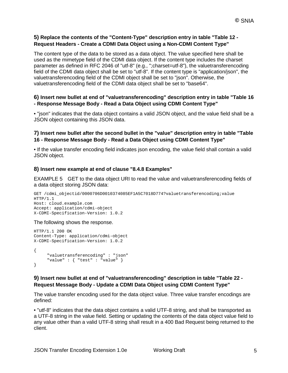#### **5) Replace the contents of the "Content-Type" description entry in table "Table 12 - Request Headers - Create a CDMI Data Object using a Non-CDMI Content Type"**

The content type of the data to be stored as a data object. The value specified here shall be used as the mimetype field of the CDMI data object. If the content type includes the charset parameter as defined in RFC 2046 of "utf-8" (e.g., ";charset=utf-8"), the valuetransferencoding field of the CDMI data object shall be set to "utf-8". If the content type is "application/json", the valuetransferencoding field of the CDMI object shall be set to "json". Otherwise, the valuetransferencoding field of the CDMI data object shall be set to "base64".

#### **6) Insert new bullet at end of "valuetransferencoding" description entry in table "Table 16 - Response Message Body - Read a Data Object using CDMI Content Type"**

• "json" indicates that the data object contains a valid JSON object, and the value field shall be a JSON object containing this JSON data.

#### **7) Insert new bullet after the second bullet in the "value" description entry in table "Table 16 - Response Message Body - Read a Data Object using CDMI Content Type"**

• If the value transfer encoding field indicates json encoding, the value field shall contain a valid JSON object.

#### **8) Insert new example at end of clause "8.4.8 Examples"**

EXAMPLE 5 GET to the data object URI to read the value and valuetransferencoding fields of a data object storing JSON data:

```
GET /cdmi_objectid/0000706D0010374085EF1A5C7018D774?valuetransferencoding;value 
HTTP/1.1
Host: cloud.example.com
Accept: application/cdmi-object
X-CDMI-Specification-Version: 1.0.2
```
#### The following shows the response.

```
HTTP/1.1 200 OK
Content-Type: application/cdmi-object
X-CDMI-Specification-Version: 1.0.2
{
     "valuetransferencoding" : "json"
     "value" : { "test" : "value" }
}
```
#### **9) Insert new bullet at end of "valuetransferencoding" description in table "Table 22 - Request Message Body - Update a CDMI Data Object using CDMI Content Type"**

The value transfer encoding used for the data object value. Three value transfer encodings are defined:

• "utf-8" indicates that the data object contains a valid UTF-8 string, and shall be transported as a UTF-8 string in the value field. Setting or updating the contents of the data object value field to any value other than a valid UTF-8 string shall result in a 400 Bad Request being returned to the client.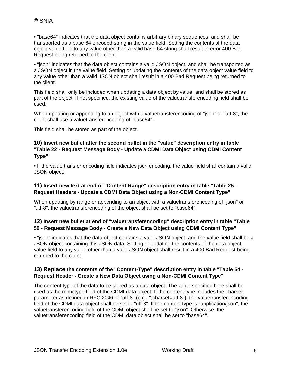• "base64" indicates that the data object contains arbitrary binary sequences, and shall be transported as a base 64 encoded string in the value field. Setting the contents of the data object value field to any value other than a valid base 64 string shall result in error 400 Bad Request being returned to the client.

• "json" indicates that the data object contains a valid JSON object, and shall be transported as a JSON object in the value field. Setting or updating the contents of the data object value field to any value other than a valid JSON object shall result in a 400 Bad Request being returned to the client.

This field shall only be included when updating a data object by value, and shall be stored as part of the object. If not specified, the existing value of the valuetransferencoding field shall be used.

When updating or appending to an object with a valuetransferencoding of "json" or "utf-8", the client shall use a valuetransferencoding of "base64".

This field shall be stored as part of the object.

#### **10) Insert new bullet after the second bullet in the "value" description entry in table "Table 22 - Request Message Body - Update a CDMI Data Object using CDMI Content Type"**

• If the value transfer encoding field indicates json encoding, the value field shall contain a valid JSON object.

#### **11) Insert new text at end of "Content-Range" description entry in table "Table 25 - Request Headers - Update a CDMI Data Object using a Non-CDMI Content Type"**

When updating by range or appending to an object with a valuetransferencoding of "json" or "utf-8", the valuetransferencoding of the object shall be set to "base64".

#### **12) Insert new bullet at end of "valuetransferencoding" description entry in table "Table 50 - Request Message Body - Create a New Data Object using CDMI Content Type"**

• "json" indicates that the data object contains a valid JSON object, and the value field shall be a JSON object containing this JSON data. Setting or updating the contents of the data object value field to any value other than a valid JSON object shall result in a 400 Bad Request being returned to the client.

#### **13) Replace the contents of the "Content-Type" description entry in table "Table 54 - Request Header - Create a New Data Object using a Non-CDMI Content Type"**

The content type of the data to be stored as a data object. The value specified here shall be used as the mimetype field of the CDMI data object. If the content type includes the charset parameter as defined in RFC 2046 of "utf-8" (e.g., ";charset=utf-8"), the valuetransferencoding field of the CDMI data object shall be set to "utf-8". If the content type is "application/json", the valuetransferencoding field of the CDMI object shall be set to "json". Otherwise, the valuetransferencoding field of the CDMI data object shall be set to "base64".